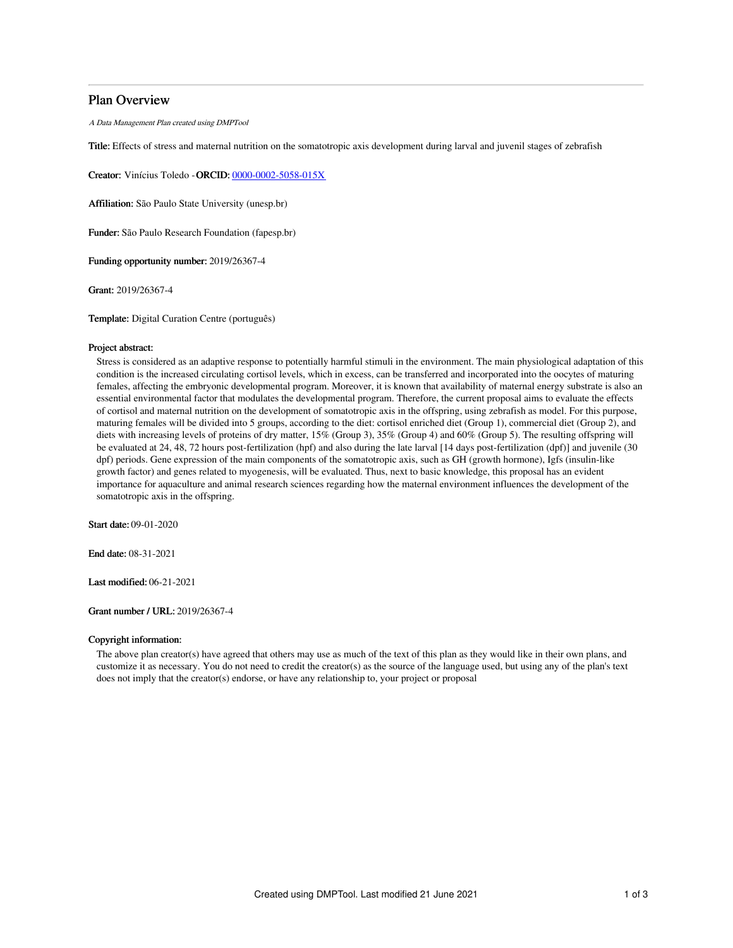# Plan Overview

A Data Management Plan created using DMPTool

Title: Effects of stress and maternal nutrition on the somatotropic axis development during larval and juvenil stages of zebrafish

Creator: Vinícius Toledo - ORCID: [0000-0002-5058-015X](https://orcid.org/0000-0002-5058-015X)

Affiliation: São Paulo State University (unesp.br)

Funder: São Paulo Research Foundation (fapesp.br)

Funding opportunity number: 2019/26367-4

Grant: 2019/26367-4

Template: Digital Curation Centre (português)

# Project abstract:

Stress is considered as an adaptive response to potentially harmful stimuli in the environment. The main physiological adaptation of this condition is the increased circulating cortisol levels, which in excess, can be transferred and incorporated into the oocytes of maturing females, affecting the embryonic developmental program. Moreover, it is known that availability of maternal energy substrate is also an essential environmental factor that modulates the developmental program. Therefore, the current proposal aims to evaluate the effects of cortisol and maternal nutrition on the development of somatotropic axis in the offspring, using zebrafish as model. For this purpose, maturing females will be divided into 5 groups, according to the diet: cortisol enriched diet (Group 1), commercial diet (Group 2), and diets with increasing levels of proteins of dry matter, 15% (Group 3), 35% (Group 4) and 60% (Group 5). The resulting offspring will be evaluated at 24, 48, 72 hours post-fertilization (hpf) and also during the late larval [14 days post-fertilization (dpf)] and juvenile (30 dpf) periods. Gene expression of the main components of the somatotropic axis, such as GH (growth hormone), Igfs (insulin-like growth factor) and genes related to myogenesis, will be evaluated. Thus, next to basic knowledge, this proposal has an evident importance for aquaculture and animal research sciences regarding how the maternal environment influences the development of the somatotropic axis in the offspring.

Start date: 09-01-2020

End date: 08-31-2021

Last modified: 06-21-2021

Grant number / URL: 2019/26367-4

# Copyright information:

The above plan creator(s) have agreed that others may use as much of the text of this plan as they would like in their own plans, and customize it as necessary. You do not need to credit the creator(s) as the source of the language used, but using any of the plan's text does not imply that the creator(s) endorse, or have any relationship to, your project or proposal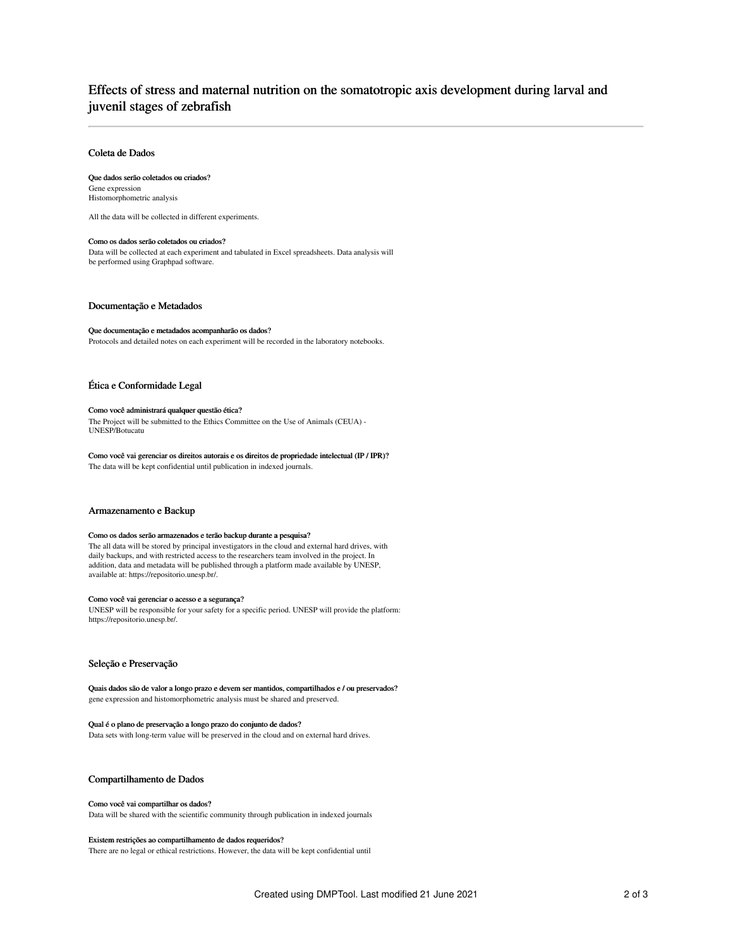# Effects of stress and maternal nutrition on the somatotropic axis development during larval and juvenil stages of zebrafish

# Coleta de Dados

# Que dados serão coletados ou criados?

Gene expression Histomorphometric analysis

All the data will be collected in different experiments.

#### Como os dados serão coletados ou criados?

Data will be collected at each experiment and tabulated in Excel spreadsheets. Data analysis will be performed using Graphpad software.

#### Documentação e Metadados

### Que documentação e metadados acompanharão os dados?

Protocols and detailed notes on each experiment will be recorded in the laboratory notebooks.

# Ética e Conformidade Legal

#### Como você administrará qualquer questão ética?

The Project will be submitted to the Ethics Committee on the Use of Animals (CEUA) - UNESP/Botucatu

Como você vai gerenciar os direitos autorais e os direitos de propriedade intelectual (IP / IPR)? The data will be kept confidential until publication in indexed journals.

#### Armazenamento e Backup

#### Como os dados serão armazenados e terão backup durante a pesquisa?

The all data will be stored by principal investigators in the cloud and external hard drives, with daily backups, and with restricted access to the researchers team involved in the project. In addition, data and metadata will be published through a platform made available by UNESP, available at: https://repositorio.unesp.br/.

# Como você vai gerenciar o acesso e a segurança?

UNESP will be responsible for your safety for a specific period. UNESP will provide the platform: https://repositorio.unesp.br/.

# Seleção e Preservação

Quais dados são de valor a longo prazo e devem ser mantidos, compartilhados e / ou preservados? gene expression and histomorphometric analysis must be shared and preserved.

# Qual é o plano de preservação a longo prazo do conjunto de dados?

Data sets with long-term value will be preserved in the cloud and on external hard drives.

# Compartilhamento de Dados

# Como você vai compartilhar os dados?

Data will be shared with the scientific community through publication in indexed journals

#### Existem restrições ao compartilhamento de dados requeridos?

There are no legal or ethical restrictions. However, the data will be kept confidential until